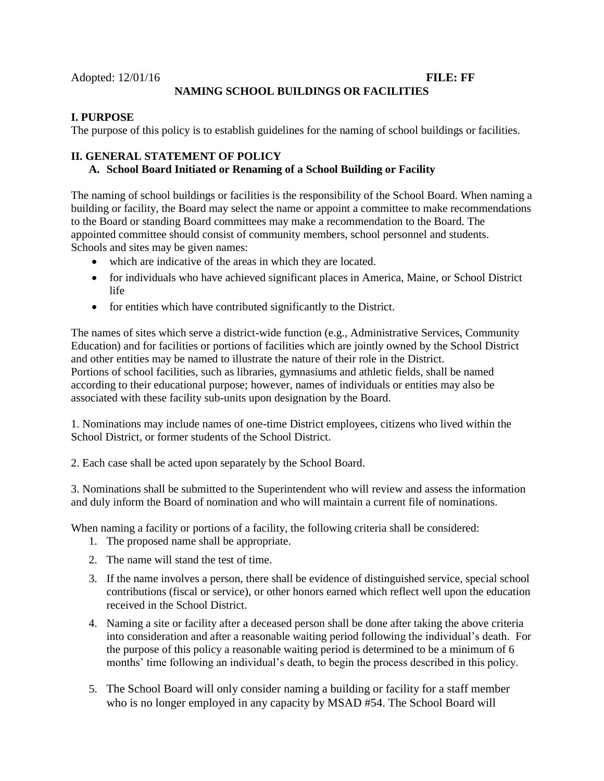# **NAMING SCHOOL BUILDINGS OR FACILITIES**

### **I. PURPOSE**

The purpose of this policy is to establish guidelines for the naming of school buildings or facilities.

# **II. GENERAL STATEMENT OF POLICY**

# **A. School Board Initiated or Renaming of a School Building or Facility**

The naming of school buildings or facilities is the responsibility of the School Board. When naming a building or facility, the Board may select the name or appoint a committee to make recommendations to the Board or standing Board committees may make a recommendation to the Board. The appointed committee should consist of community members, school personnel and students. Schools and sites may be given names:

- which are indicative of the areas in which they are located.
- for individuals who have achieved significant places in America, Maine, or School District life
- for entities which have contributed significantly to the District.

The names of sites which serve a district-wide function (e.g., Administrative Services, Community Education) and for facilities or portions of facilities which are jointly owned by the School District and other entities may be named to illustrate the nature of their role in the District. Portions of school facilities, such as libraries, gymnasiums and athletic fields, shall be named according to their educational purpose; however, names of individuals or entities may also be associated with these facility sub-units upon designation by the Board.

1. Nominations may include names of one-time District employees, citizens who lived within the School District, or former students of the School District.

2. Each case shall be acted upon separately by the School Board.

3. Nominations shall be submitted to the Superintendent who will review and assess the information and duly inform the Board of nomination and who will maintain a current file of nominations.

When naming a facility or portions of a facility, the following criteria shall be considered:

- 1. The proposed name shall be appropriate.
- 2. The name will stand the test of time.
- 3. If the name involves a person, there shall be evidence of distinguished service, special school contributions (fiscal or service), or other honors earned which reflect well upon the education received in the School District.
- 4. Naming a site or facility after a deceased person shall be done after taking the above criteria into consideration and after a reasonable waiting period following the individual's death. For the purpose of this policy a reasonable waiting period is determined to be a minimum of 6 months' time following an individual's death, to begin the process described in this policy.
- 5. The School Board will only consider naming a building or facility for a staff member who is no longer employed in any capacity by MSAD #54. The School Board will